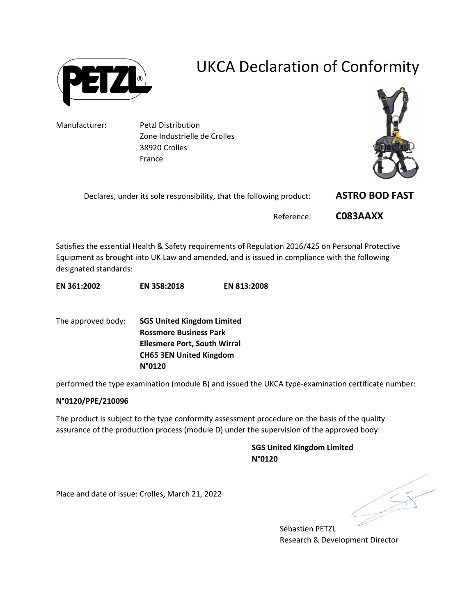

## UKCA Declaration of Conformity

Manufacturer: Petzl Distribution Zone Industrielle de Crolles 38920 Crolles France



Declares, under its sole responsibility, that the following product: **ASTRO BOD FAST** 

Reference: **C083AAXX**

Satisfies the essential Health & Safety requirements of Regulation 2016/425 on Personal Protective Equipment as brought into UK Law and amended, and is issued in compliance with the following designated standards:

**EN 361:2002 EN 358:2018 EN 813:2008** 

The approved body: **SGS United Kingdom Limited Rossmore Business Park Ellesmere Port, South Wirral CH65 3EN United Kingdom N°0120** 

performed the type examination (module B) and issued the UKCA type-examination certificate number:

## **N°0120/PPE/210096**

The product is subject to the type conformity assessment procedure on the basis of the quality assurance of the production process (module D) under the supervision of the approved body:

> **SGS United Kingdom Limited N°0120**

Place and date of issue: Crolles, March 21, 2022

Sébastien PETZL Research & Development Director